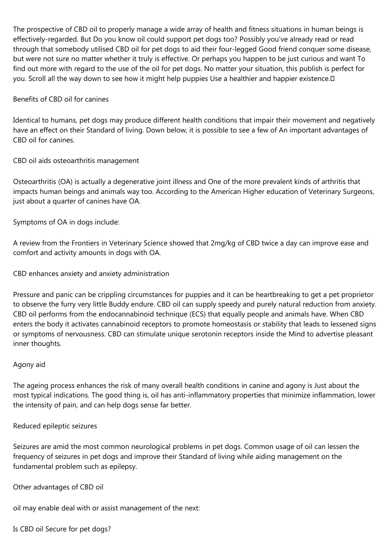The prospective of CBD oil to properly manage a wide array of health and fitness situations in human beings is effectively-regarded. But Do you know oil could support pet dogs too? Possibly you've already read or read through that somebody utilised CBD oil for pet dogs to aid their four-legged Good friend conquer some disease, but were not sure no matter whether it truly is effective. Or perhaps you happen to be just curious and want To find out more with regard to the use of the oil for pet dogs. No matter your situation, this publish is perfect for you. Scroll all the way down to see how it might help puppies Use a healthier and happier existence.

## Benefits of CBD oil for canines

Identical to humans, pet dogs may produce different health conditions that impair their movement and negatively have an effect on their Standard of living. Down below, it is possible to see a few of An important advantages of CBD oil for canines.

CBD oil aids osteoarthritis management

Osteoarthritis (OA) is actually a degenerative joint illness and One of the more prevalent kinds of arthritis that impacts human beings and animals way too. According to the American Higher education of Veterinary Surgeons, just about a quarter of canines have OA.

Symptoms of OA in dogs include:

A review from the Frontiers in Veterinary Science showed that 2mg/kg of CBD twice a day can improve ease and comfort and activity amounts in dogs with OA.

CBD enhances anxiety and anxiety administration

Pressure and panic can be crippling circumstances for puppies and it can be heartbreaking to get a pet proprietor to observe the furry very little Buddy endure. CBD oil can supply speedy and purely natural reduction from anxiety. CBD oil performs from the endocannabinoid technique (ECS) that equally people and animals have. When CBD enters the body it activates cannabinoid receptors to promote homeostasis or stability that leads to lessened signs or symptoms of nervousness. CBD can stimulate unique serotonin receptors inside the Mind to advertise pleasant inner thoughts.

## Agony aid

The ageing process enhances the risk of many overall health conditions in canine and agony is Just about the most typical indications. The good thing is, oil has anti-inflammatory properties that minimize inflammation, lower the intensity of pain, and can help dogs sense far better.

## Reduced epileptic seizures

Seizures are amid the most common neurological problems in pet dogs. Common usage of oil can lessen the frequency of seizures in pet dogs and improve their Standard of living while aiding management on the fundamental problem such as epilepsy.

Other advantages of CBD oil

oil may enable deal with or assist management of the next:

Is CBD oil Secure for pet dogs?